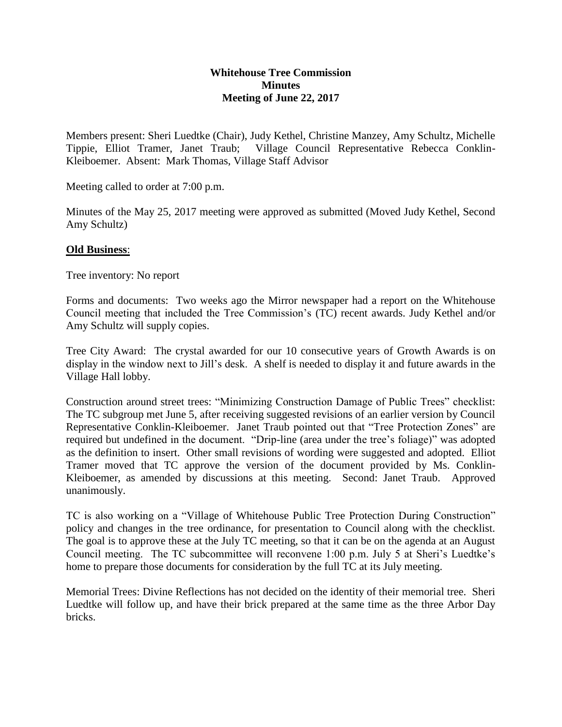# **Whitehouse Tree Commission Minutes Meeting of June 22, 2017**

Members present: Sheri Luedtke (Chair), Judy Kethel, Christine Manzey, Amy Schultz, Michelle Tippie, Elliot Tramer, Janet Traub; Village Council Representative Rebecca Conklin-Kleiboemer. Absent: Mark Thomas, Village Staff Advisor

Meeting called to order at 7:00 p.m.

Minutes of the May 25, 2017 meeting were approved as submitted (Moved Judy Kethel, Second Amy Schultz)

# **Old Business**:

Tree inventory: No report

Forms and documents: Two weeks ago the Mirror newspaper had a report on the Whitehouse Council meeting that included the Tree Commission's (TC) recent awards. Judy Kethel and/or Amy Schultz will supply copies.

Tree City Award: The crystal awarded for our 10 consecutive years of Growth Awards is on display in the window next to Jill's desk. A shelf is needed to display it and future awards in the Village Hall lobby.

Construction around street trees: "Minimizing Construction Damage of Public Trees" checklist: The TC subgroup met June 5, after receiving suggested revisions of an earlier version by Council Representative Conklin-Kleiboemer. Janet Traub pointed out that "Tree Protection Zones" are required but undefined in the document. "Drip-line (area under the tree's foliage)" was adopted as the definition to insert. Other small revisions of wording were suggested and adopted. Elliot Tramer moved that TC approve the version of the document provided by Ms. Conklin-Kleiboemer, as amended by discussions at this meeting. Second: Janet Traub. Approved unanimously.

TC is also working on a "Village of Whitehouse Public Tree Protection During Construction" policy and changes in the tree ordinance, for presentation to Council along with the checklist. The goal is to approve these at the July TC meeting, so that it can be on the agenda at an August Council meeting. The TC subcommittee will reconvene 1:00 p.m. July 5 at Sheri's Luedtke's home to prepare those documents for consideration by the full TC at its July meeting.

Memorial Trees: Divine Reflections has not decided on the identity of their memorial tree. Sheri Luedtke will follow up, and have their brick prepared at the same time as the three Arbor Day bricks.